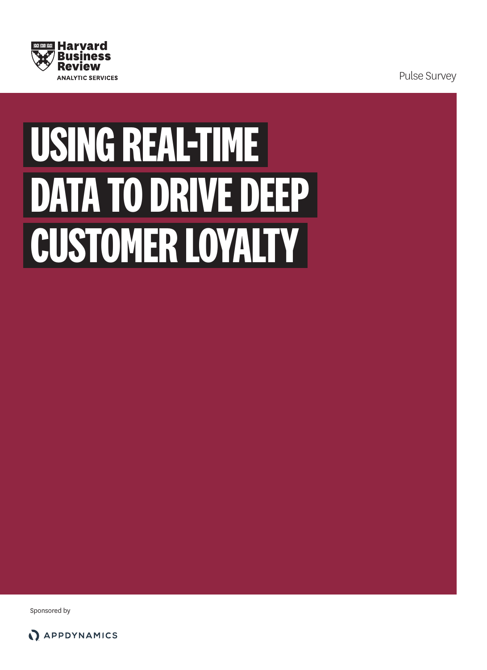

Pulse Survey

# **USING REAL-TIME DATA TO DRIVE DEEP CUSTOMER LOYALTY**

Sponsored by

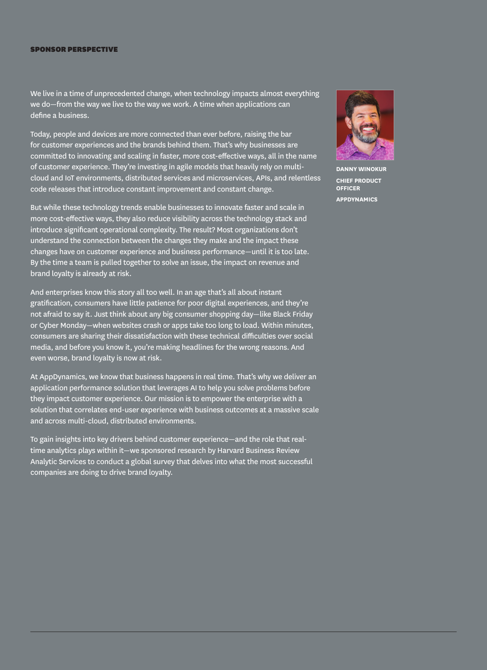#### SPONSOR PERSPECTIVE

We live in a time of unprecedented change, when technology impacts almost everything we do—from the way we live to the way we work. A time when applications can define a business.

Today, people and devices are more connected than ever before, raising the bar for customer experiences and the brands behind them. That's why businesses are committed to innovating and scaling in faster, more cost-effective ways, all in the name of customer experience. They're investing in agile models that heavily rely on multicloud and IoT environments, distributed services and microservices, APIs, and relentless code releases that introduce constant improvement and constant change.

But while these technology trends enable businesses to innovate faster and scale in more cost-effective ways, they also reduce visibility across the technology stack and introduce significant operational complexity. The result? Most organizations don't understand the connection between the changes they make and the impact these changes have on customer experience and business performance—until it is too late. By the time a team is pulled together to solve an issue, the impact on revenue and brand loyalty is already at risk.

And enterprises know this story all too well. In an age that's all about instant gratification, consumers have little patience for poor digital experiences, and they're not afraid to say it. Just think about any big consumer shopping day—like Black Friday or Cyber Monday—when websites crash or apps take too long to load. Within minutes, consumers are sharing their dissatisfaction with these technical difficulties over social media, and before you know it, you're making headlines for the wrong reasons. And even worse, brand loyalty is now at risk.

At AppDynamics, we know that business happens in real time. That's why we deliver an application performance solution that leverages AI to help you solve problems before they impact customer experience. Our mission is to empower the enterprise with a solution that correlates end-user experience with business outcomes at a massive scale and across multi-cloud, distributed environments.

To gain insights into key drivers behind customer experience—and the role that realtime analytics plays within it—we sponsored research by Harvard Business Review Analytic Services to conduct a global survey that delves into what the most successful companies are doing to drive brand loyalty.



**DANNY WINOKUR CHIEF PRODUCT OFFICER APPDYNAMICS**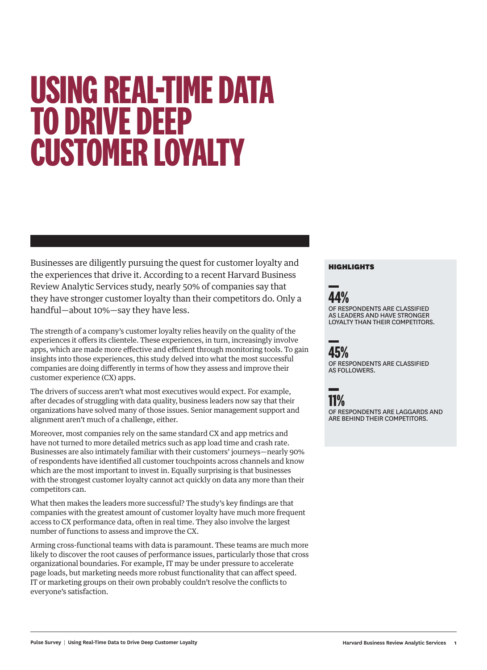# **USING REAL-TIME DATA TO DRIVE DEEP CUSTOMER LOYALTY**

Businesses are diligently pursuing the quest for customer loyalty and the experiences that drive it. According to a recent Harvard Business Review Analytic Services study, nearly 50% of companies say that they have stronger customer loyalty than their competitors do. Only a handful—about 10%—say they have less.

The strength of a company's customer loyalty relies heavily on the quality of the experiences it offers its clientele. These experiences, in turn, increasingly involve apps, which are made more effective and efficient through monitoring tools. To gain insights into those experiences, this study delved into what the most successful companies are doing differently in terms of how they assess and improve their customer experience (CX) apps.

The drivers of success aren't what most executives would expect. For example, after decades of struggling with data quality, business leaders now say that their organizations have solved many of those issues. Senior management support and alignment aren't much of a challenge, either.

Moreover, most companies rely on the same standard CX and app metrics and have not turned to more detailed metrics such as app load time and crash rate. Businesses are also intimately familiar with their customers' journeys—nearly 90% of respondents have identified all customer touchpoints across channels and know which are the most important to invest in. Equally surprising is that businesses with the strongest customer loyalty cannot act quickly on data any more than their competitors can.

What then makes the leaders more successful? The study's key findings are that companies with the greatest amount of customer loyalty have much more frequent access to CX performance data, often in real time. They also involve the largest number of functions to assess and improve the CX.

Arming cross-functional teams with data is paramount. These teams are much more likely to discover the root causes of performance issues, particularly those that cross organizational boundaries. For example, IT may be under pressure to accelerate page loads, but marketing needs more robust functionality that can affect speed. IT or marketing groups on their own probably couldn't resolve the conflicts to everyone's satisfaction.

### HIGHLIGHTS



OF RESPONDENTS ARE CLASSIFIED AS LEADERS AND HAVE STRONGER LOYALTY THAN THEIR COMPETITORS.



OF RESPONDENTS ARE CLASSIFIED AS FOLLOWERS.



OF RESPONDENTS ARE LAGGARDS AND ARE BEHIND THEIR COMPETITORS.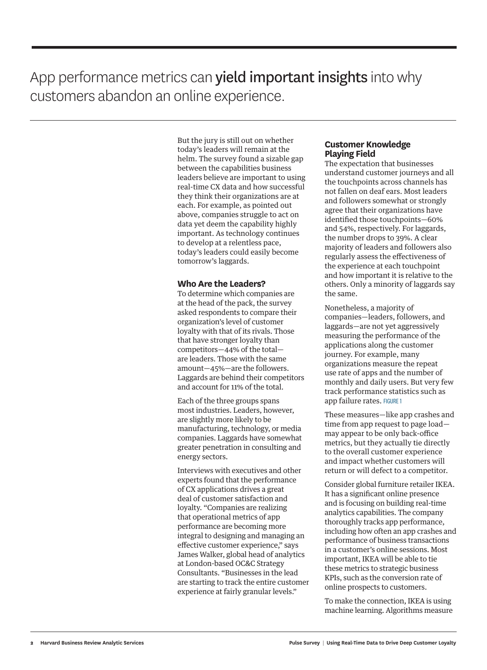### App performance metrics can **yield important insights** into why customers abandon an online experience.

But the jury is still out on whether today's leaders will remain at the helm. The survey found a sizable gap between the capabilities business leaders believe are important to using real-time CX data and how successful they think their organizations are at each. For example, as pointed out above, companies struggle to act on data yet deem the capability highly important. As technology continues to develop at a relentless pace, today's leaders could easily become tomorrow's laggards.

### **Who Are the Leaders?**

To determine which companies are at the head of the pack, the survey asked respondents to compare their organization's level of customer loyalty with that of its rivals. Those that have stronger loyalty than competitors—44% of the total are leaders. Those with the same amount—45%—are the followers. Laggards are behind their competitors and account for 11% of the total.

Each of the three groups spans most industries. Leaders, however, are slightly more likely to be manufacturing, technology, or media companies. Laggards have somewhat greater penetration in consulting and energy sectors.

Interviews with executives and other experts found that the performance of CX applications drives a great deal of customer satisfaction and loyalty. "Companies are realizing that operational metrics of app performance are becoming more integral to designing and managing an effective customer experience," says James Walker, global head of analytics at London-based OC&C Strategy Consultants. "Businesses in the lead are starting to track the entire customer experience at fairly granular levels."

### **Customer Knowledge Playing Field**

The expectation that businesses understand customer journeys and all the touchpoints across channels has not fallen on deaf ears. Most leaders and followers somewhat or strongly agree that their organizations have identified those touchpoints—60% and 54%, respectively. For laggards, the number drops to 39%. A clear majority of leaders and followers also regularly assess the effectiveness of the experience at each touchpoint and how important it is relative to the others. Only a minority of laggards say the same.

Nonetheless, a majority of companies—leaders, followers, and laggards—are not yet aggressively measuring the performance of the applications along the customer journey. For example, many organizations measure the repeat use rate of apps and the number of monthly and daily users. But very few track performance statistics such as app failure rates. FIGURE 1

These measures—like app crashes and time from app request to page load may appear to be only back-office metrics, but they actually tie directly to the overall customer experience and impact whether customers will return or will defect to a competitor.

Consider global furniture retailer IKEA. It has a significant online presence and is focusing on building real-time analytics capabilities. The company thoroughly tracks app performance, including how often an app crashes and performance of business transactions in a customer's online sessions. Most important, IKEA will be able to tie these metrics to strategic business KPIs, such as the conversion rate of online prospects to customers.

To make the connection, IKEA is using machine learning. Algorithms measure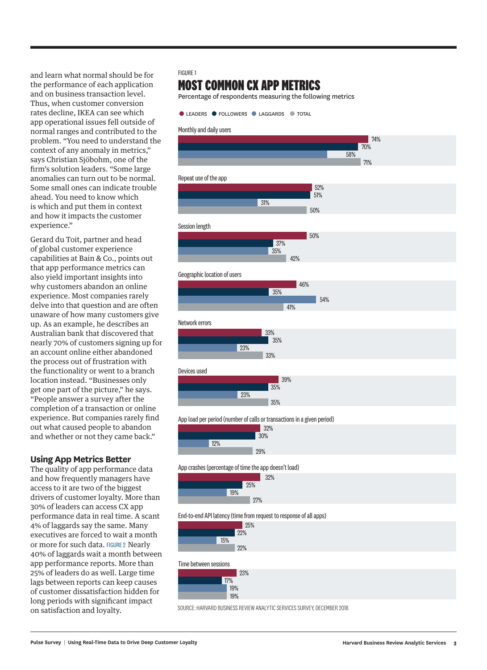and learn what normal should be for the performance of each application and on business transaction level. Thus, when customer conversion rates decline, IKEA can see which app operational issues fell outside of normal ranges and contributed to the problem. "You need to understand the context of any anomaly in metrics," says Christian Sjöbohm, one of the firm's solution leaders. "Some large anomalies can turn out to be normal. Some small ones can indicate trouble ahead. You need to know which is which and put them in context and how it impacts the customer experience."

Gerard du Toit, partner and head of global customer experience capabilities at Bain & Co., points out that app performance metrics can also yield important insights into why customers abandon an online experience. Most companies rarely delve into that question and are often unaware of how many customers give up. As an example, he describes an Australian bank that discovered that nearly 70% of customers signing up for an account online either abandoned the process out of frustration with the functionality or went to a branch location instead. "Businesses only get one part of the picture," he says. "People answer a survey after the completion of a transaction or online experience. But companies rarely find out what caused people to abandon and whether or not they came back."

### **Using App Metrics Better**

The quality of app performance data and how frequently managers have access to it are two of the biggest drivers of customer loyalty. More than 30% of leaders can access CX app performance data in real time. A scant 4% of laggards say the same. Many executives are forced to wait a month or more for such data. FIGURE 2 Nearly 40% of laggards wait a month between app performance reports. More than 25% of leaders do as well. Large time lags between reports can keep causes of customer dissatisfaction hidden for long periods with significant impact on satisfaction and loyalty.

### FIGURE 1

### **MOST COMMON CX APP METRIC S**

Percentage of respondents measuring the following metric s



### Monthly and daily users

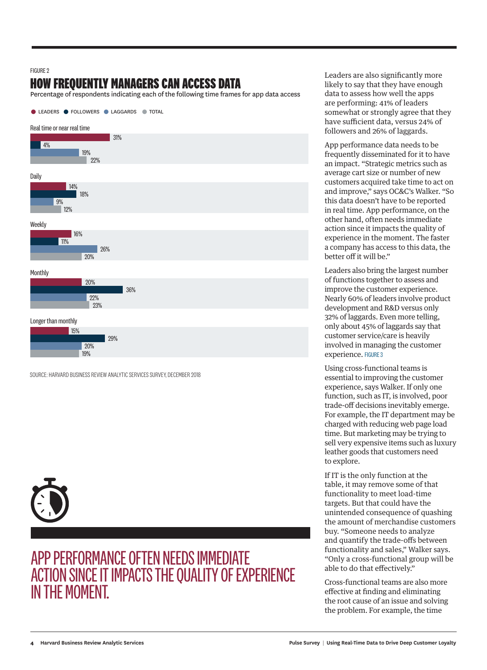#### **FIGURE 2**

### **HOW FREQUENTLY MANAGERS CAN ACCESS DATA**

Percentage of respondents indicating each of the following time frames for app data access



SOURCE: HARVARD BUSINESS REVIEW ANALYTIC SERVICES SURVEY, DECEMBER 2018



### APP PERFORMANCE OFTEN NEEDS IMMEDIATE ACTION SINCE IT IMPACTS THE QUALITY OF EXPERIENCE IN THE MOMENT.

Leaders are also significantly more likely to say that they have enough data to assess how well the apps are performing: 41% of leaders somewhat or strongly agree that they have sufficient data, versus 24% of followers and 26% of laggards.

App performance data needs to be frequently disseminated for it to have an impact. "Strategic metrics such as average cart size or number of new customers acquired take time to act on and improve," says OC&C's Walker. "So this data doesn't have to be reported in real time. App performance, on the other hand, often needs immediate action since it impacts the quality of experience in the moment. The faster a company has access to this data, the better off it will be."

Leaders also bring the largest number of functions together to assess and improve the customer experience. Nearly 60% of leaders involve product development and R&D versus only 32% of laggards. Even more telling, only about 45% of laggards say that customer service/care is heavily involved in managing the customer experience. FIGURE 3

Using cross-functional teams is essential to improving the customer experience, says Walker. If only one function, such as IT, is involved, poor trade-off decisions inevitably emerge. For example, the IT department may be charged with reducing web page load time. But marketing may be trying to sell very expensive items such as luxury leather goods that customers need to explore.

If IT is the only function at the table, it may remove some of that functionality to meet load-time targets. But that could have the unintended consequence of quashing the amount of merchandise customers buy. "Someone needs to analyze and quantify the trade-offs between functionality and sales," Walker says. "Only a cross-functional group will be able to do that effectively."

Cross-functional teams are also more effective at finding and eliminating the root cause of an issue and solving the problem. For example, the time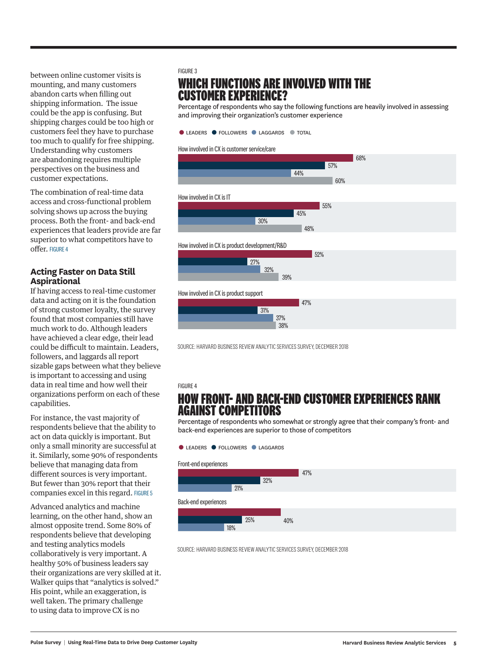between online customer visits is mounting, and many customers abandon carts when filling out shipping information. The issue could be the app is confusing. But shipping charges could be too high or customers feel they have to purchase too much to qualify for free shipping. Understanding why customers are abandoning requires multiple perspectives on the business and customer expectations.

The combination of real-time data access and cross-functional problem solving shows up across the buying process. Both the front- and back-end experiences that leaders provide are far superior to what competitors have to offer. FIGURE 4

### **Acting Faster on Data Still Aspirational**

If having access to real-time customer data and acting on it is the foundation of strong customer loyalty, the survey found that most companies still have much work to do. Although leaders have achieved a clear edge, their lead could be difficult to maintain. Leaders, followers, and laggards all report sizable gaps between what they believe is important to accessing and using data in real time and how well their organizations perform on each of these capabilities.

For instance, the vast majority of respondents believe that the ability to act on data quickly is important. But only a small minority are successful at it. Similarly, some 90% of respondents believe that managing data from different sources is very important. But fewer than 30% report that their companies excel in this regard. FIGURE 5

Advanced analytics and machine learning, on the other hand, show an almost opposite trend. Some 80% of respondents believe that developing and testing analytics models collaboratively is very important. A healthy 50% of business leaders say their organizations are very skilled at it. Walker quips that "analytics is solved." His point, while an exaggeration, is well taken. The primary challenge to using data to improve CX is no

### FIGURE 3

### **WHICH FUNCTIONS ARE INVOLVED WITH THE CUSTOMER EXPERIENCE?**

Percentage of respondents who say the following functions are heavily involved in assessing and improving their organization's customer experience



#### How involved in CX is customer service/care



SOURCE: HARVARD BUSINESS REVIEW ANALYTIC SERVICES SURVEY, DECEMBER 2018

#### FIGURE 4

### **HOW FRONT- AND BACK-END CUSTOMER EXPERIENCES RANK AGAINST COMPETITORS**

Percentage of respondents who somewhat or strongly agree that their company's front- and back-end experiences are superior to those of competitors



SOURCE: HARVARD BUSINESS REVIEW ANALYTIC SERVICES SURVEY, DECEMBER 2018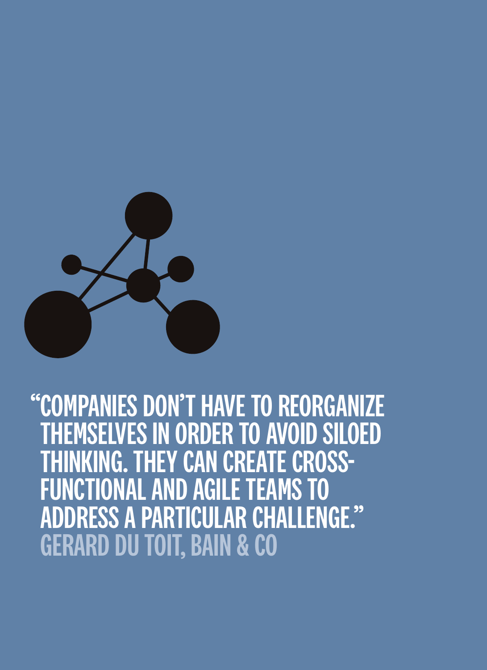

## "COMPANIES DON'T HAVE TO REORGANIZE **EMSELVES IN ORDER TO AVOID SILOED IKING. THEY CAN CREATE CROSS-**FUNCTIONAL AND AGILE TEAMS TO ADDRESS A PARTICULAR CHALLENGE." GERARD DU TOIT, BAIN & CO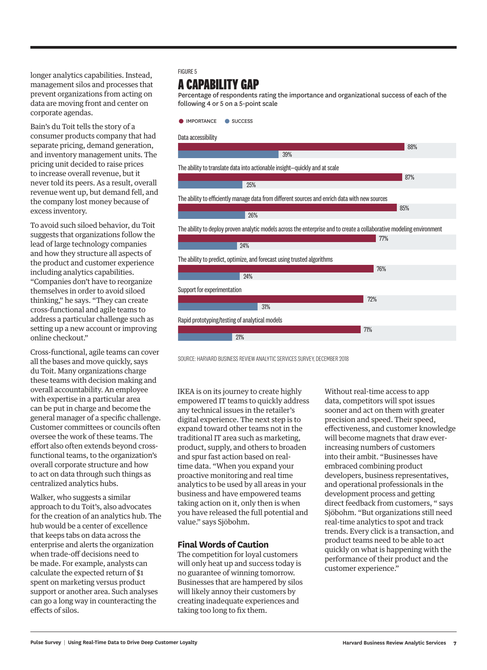longer analytics capabilities. Instead, management silos and processes that prevent organizations from acting on data are moving front and center on corporate agendas.

Bain's du Toit tells the story of a consumer products company that had separate pricing, demand generation, and inventory management units. The pricing unit decided to raise prices to increase overall revenue, but it never told its peers. As a result, overall revenue went up, but demand fell, and the company lost money because of excess inventory.

To avoid such siloed behavior, du Toit suggests that organizations follow the lead of large technology companies and how they structure all aspects of the product and customer experience including analytics capabilities. "Companies don't have to reorganize themselves in order to avoid siloed thinking," he says. "They can create cross-functional and agile teams to address a particular challenge such as setting up a new account or improving online checkout."

Cross-functional, agile teams can cover all the bases and move quickly, says du Toit. Many organizations charge these teams with decision making and overall accountability. An employee with expertise in a particular area can be put in charge and become the general manager of a specific challenge. Customer committees or councils often oversee the work of these teams. The effort also often extends beyond crossfunctional teams, to the organization's overall corporate structure and how to act on data through such things as centralized analytics hubs.

Walker, who suggests a similar approach to du Toit's, also advocates for the creation of an analytics hub. The hub would be a center of excellence that keeps tabs on data across the enterprise and alerts the organization when trade-off decisions need to be made. For example, analysts can calculate the expected return of \$1 spent on marketing versus product support or another area. Such analyses can go a long way in counteracting the effects of silos.

### FIGURE 5

### **A CAPABILITY GAP**

Percentage of respondents rating the importance and organizational success of each of the following 4 or 5 on a 5-point scale



SOURCE: HARVARD BUSINESS REVIEW ANALYTIC SERVICES SURVEY, DECEMBER 2018

IKEA is on its journey to create highly empowered IT teams to quickly address any technical issues in the retailer's digital experience. The next step is to expand toward other teams not in the traditional IT area such as marketing, product, supply, and others to broaden and spur fast action based on realtime data. "When you expand your proactive monitoring and real time analytics to be used by all areas in your business and have empowered teams taking action on it, only then is when you have released the full potential and value." says Sjöbohm.

### **Final Words of Caution**

The competition for loyal customers will only heat up and success today is no guarantee of winning tomorrow. Businesses that are hampered by silos will likely annoy their customers by creating inadequate experiences and taking too long to fix them.

Without real-time access to app data, competitors will spot issues sooner and act on them with greater precision and speed. Their speed, effectiveness, and customer knowledge will become magnets that draw everincreasing numbers of customers into their ambit. "Businesses have embraced combining product developers, business representatives, and operational professionals in the development process and getting direct feedback from customers, " says Sjöbohm. "But organizations still need real-time analytics to spot and track trends. Every click is a transaction, and product teams need to be able to act quickly on what is happening with the performance of their product and the customer experience."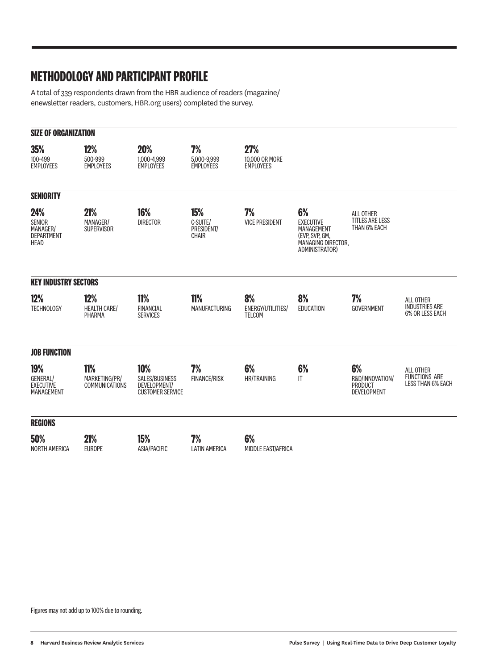### **METHODOLOGY AND PARTICIPANT PROFILE**

A total of 339 respondents drawn from the HBR audience of readers (magazine/ enewsletter readers, customers, HBR.org users) completed the survey.

| <b>SIZE OF ORGANIZATION</b>                                          |                                                      |                                                                         |                                               |                                                  |                                                                                                       |                                                               |                                                                      |
|----------------------------------------------------------------------|------------------------------------------------------|-------------------------------------------------------------------------|-----------------------------------------------|--------------------------------------------------|-------------------------------------------------------------------------------------------------------|---------------------------------------------------------------|----------------------------------------------------------------------|
| <b>35%</b><br>100-499<br><b>EMPLOYEES</b>                            | 12%<br>500-999<br><b>EMPLOYEES</b>                   | 20%<br>1.000-4.999<br><b>EMPLOYEES</b>                                  | 7%<br>5,000-9,999<br><b>EMPLOYEES</b>         | <b>27%</b><br>10,000 OR MORE<br><b>EMPLOYEES</b> |                                                                                                       |                                                               |                                                                      |
| <b>SENIORITY</b>                                                     |                                                      |                                                                         |                                               |                                                  |                                                                                                       |                                                               |                                                                      |
| 24%<br><b>SENIOR</b><br>MANAGER/<br><b>DEPARTMENT</b><br><b>HEAD</b> | 21%<br>MANAGER/<br><b>SUPERVISOR</b>                 | 16%<br><b>DIRECTOR</b>                                                  | <b>15%</b><br>C-SUITE/<br>PRESIDENT/<br>CHAIR | 7%<br><b>VICE PRESIDENT</b>                      | 6%<br><b>EXECUTIVE</b><br>MANAGEMENT<br>(EVP, SVP, GM,<br><b>MANAGING DIRECTOR.</b><br>ADMINISTRATOR) | <b>ALL OTHER</b><br><b>TITLES ARE LESS</b><br>THAN 6% EACH    |                                                                      |
| <b>KEY INDUSTRY SECTORS</b>                                          |                                                      |                                                                         |                                               |                                                  |                                                                                                       |                                                               |                                                                      |
| <b>12%</b><br><b>TECHNOLOGY</b>                                      | <b>12%</b><br><b>HEALTH CARE/</b><br>PHARMA          | <b>11%</b><br><b>FINANCIAL</b><br><b>SERVICES</b>                       | <b>11%</b><br><b>MANUFACTURING</b>            | 8%<br><b>ENERGY/UTILITIES/</b><br><b>TELCOM</b>  | 8%<br><b>EDUCATION</b>                                                                                | 7%<br><b>GOVERNMENT</b>                                       | ALL OTHER<br><b>INDUSTRIES ARE</b><br>6% OR LESS EACH                |
| <b>JOB FUNCTION</b>                                                  |                                                      |                                                                         |                                               |                                                  |                                                                                                       |                                                               |                                                                      |
| <b>19%</b><br><b>GENERAL/</b><br><b>EXECUTIVE</b><br>MANAGEMENT      | <b>11%</b><br>MARKETING/PR/<br><b>COMMUNICATIONS</b> | 10%<br><b>SALES/BUSINESS</b><br>DEVELOPMENT/<br><b>CUSTOMER SERVICE</b> | 7%<br><b>FINANCE/RISK</b>                     | 6%<br><b>HR/TRAINING</b>                         | 6%<br>$\mathsf{I}$                                                                                    | 6%<br>R&D/INNOVATION/<br><b>PRODUCT</b><br><b>DEVELOPMENT</b> | <b>ALL OTHER</b><br><b>FUNCTIONS ARE</b><br><b>LESS THAN 6% EACH</b> |
| <b>REGIONS</b>                                                       |                                                      |                                                                         |                                               |                                                  |                                                                                                       |                                                               |                                                                      |
| 50%<br><b>NORTH AMERICA</b>                                          | 21%<br><b>EUROPE</b>                                 | 15%<br><b>ASIA/PACIFIC</b>                                              | 7%<br><b>LATIN AMERICA</b>                    | 6%<br>MIDDLE EAST/AFRICA                         |                                                                                                       |                                                               |                                                                      |

Figures may not add up to 100% due to rounding.